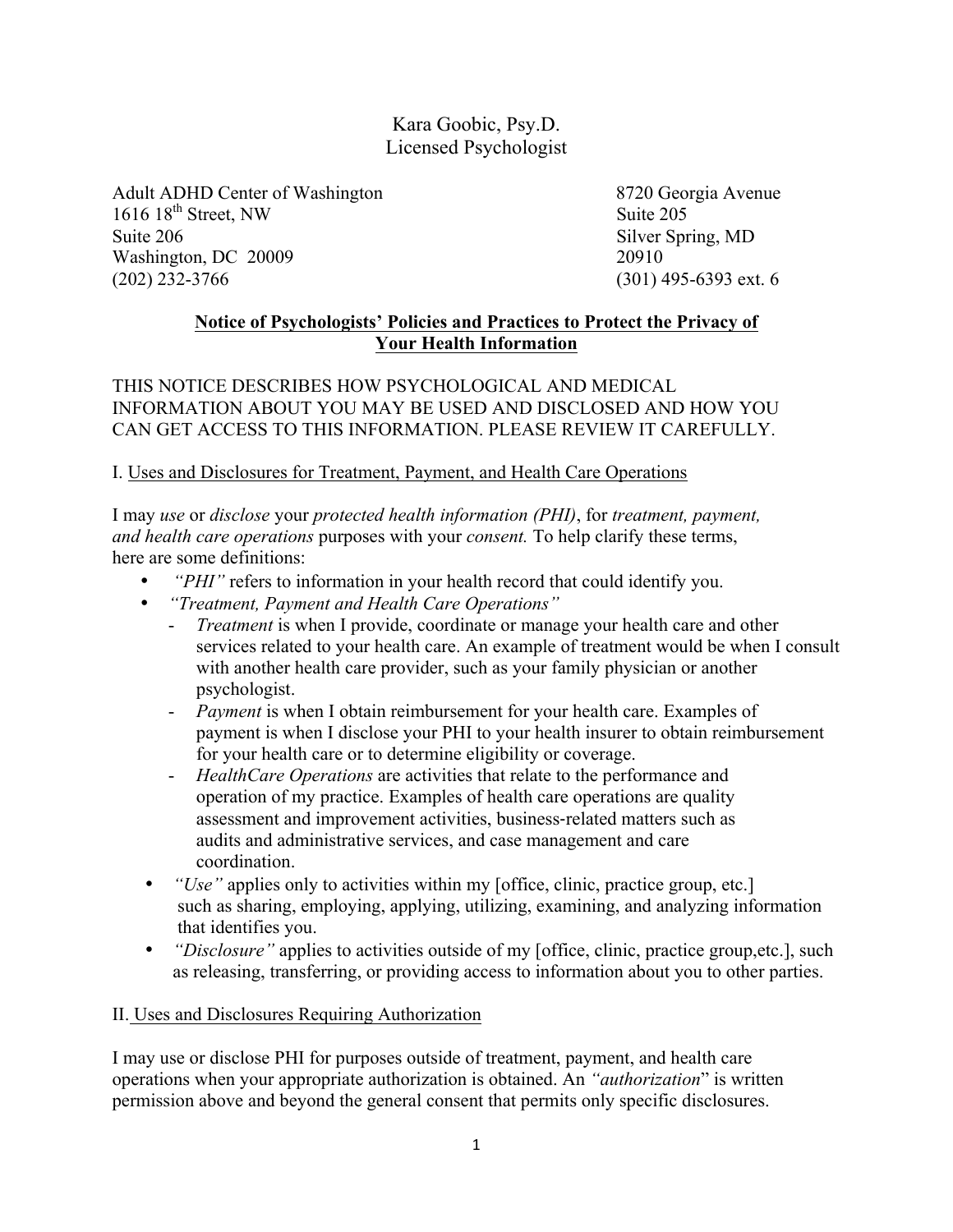Kara Goobic, Psy.D. Licensed Psychologist

Adult ADHD Center of Washington 8720 Georgia Avenue 1616 18<sup>th</sup> Street, NW Suite 205 Suite 206 Silver Spring, MD Washington, DC 20009 20910 (202) 232-3766 (301) 495-6393 ext. 6

# **Notice of Psychologists' Policies and Practices to Protect the Privacy of Your Health Information**

THIS NOTICE DESCRIBES HOW PSYCHOLOGICAL AND MEDICAL INFORMATION ABOUT YOU MAY BE USED AND DISCLOSED AND HOW YOU CAN GET ACCESS TO THIS INFORMATION. PLEASE REVIEW IT CAREFULLY.

### I. Uses and Disclosures for Treatment, Payment, and Health Care Operations

I may *use* or *disclose* your *protected health information (PHI)*, for *treatment, payment, and health care operations* purposes with your *consent.* To help clarify these terms, here are some definitions:

- "*PHI*" refers to information in your health record that could identify you.
- *"Treatment, Payment and Health Care Operations"*
	- *Treatment* is when I provide, coordinate or manage your health care and other services related to your health care. An example of treatment would be when I consult with another health care provider, such as your family physician or another psychologist.
	- *Payment* is when I obtain reimbursement for your health care. Examples of payment is when I disclose your PHI to your health insurer to obtain reimbursement for your health care or to determine eligibility or coverage.
	- *HealthCare Operations* are activities that relate to the performance and operation of my practice. Examples of health care operations are quality assessment and improvement activities, business-related matters such as audits and administrative services, and case management and care coordination.
- *"Use"* applies only to activities within my [office, clinic, practice group, etc.] such as sharing, employing, applying, utilizing, examining, and analyzing information that identifies you.
- *"Disclosure"* applies to activities outside of my [office, clinic, practice group,etc.], such as releasing, transferring, or providing access to information about you to other parties.

# II. Uses and Disclosures Requiring Authorization

I may use or disclose PHI for purposes outside of treatment, payment, and health care operations when your appropriate authorization is obtained. An *"authorization*" is written permission above and beyond the general consent that permits only specific disclosures.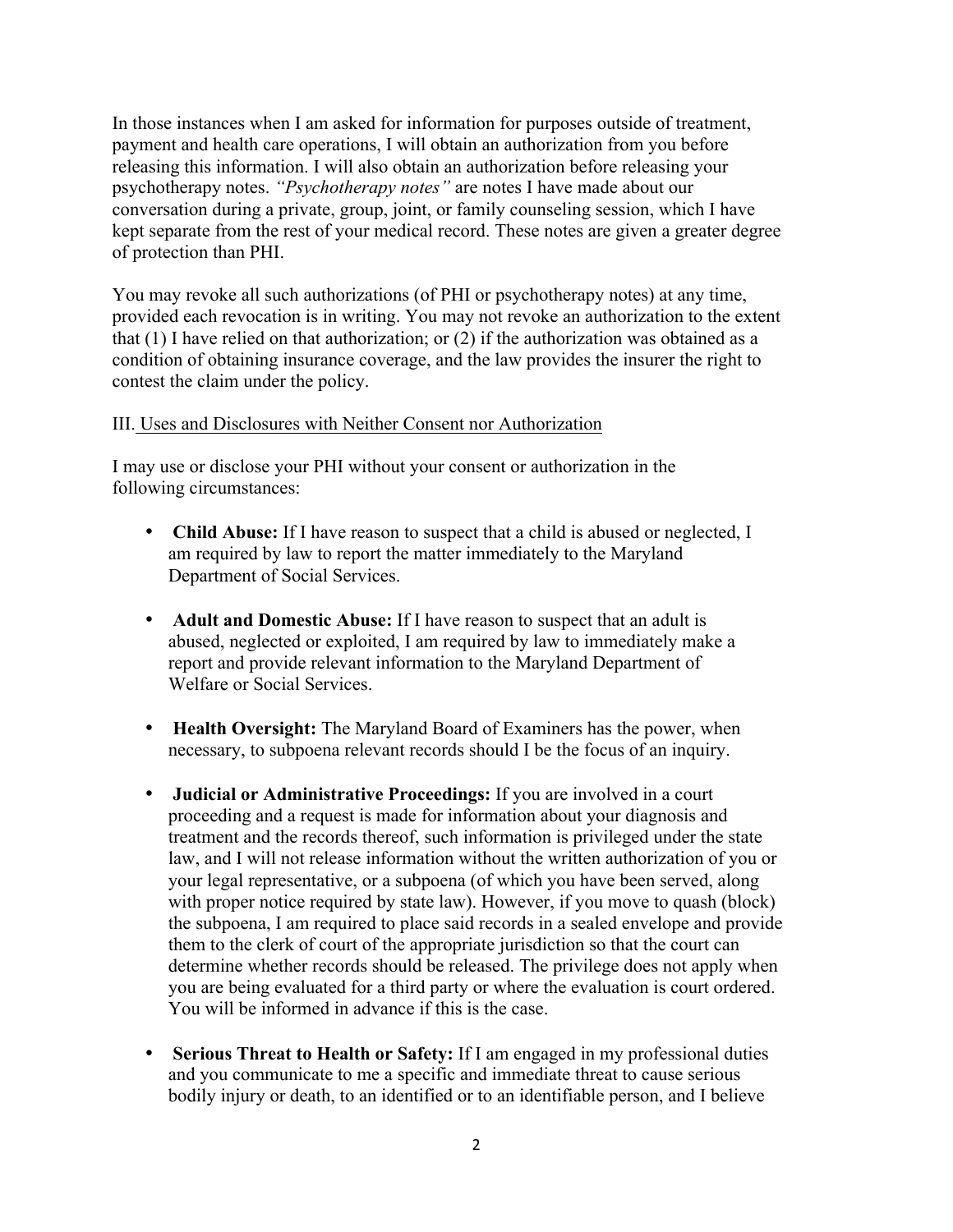In those instances when I am asked for information for purposes outside of treatment, payment and health care operations, I will obtain an authorization from you before releasing this information. I will also obtain an authorization before releasing your psychotherapy notes. *"Psychotherapy notes"* are notes I have made about our conversation during a private, group, joint, or family counseling session, which I have kept separate from the rest of your medical record. These notes are given a greater degree of protection than PHI.

You may revoke all such authorizations (of PHI or psychotherapy notes) at any time, provided each revocation is in writing. You may not revoke an authorization to the extent that (1) I have relied on that authorization; or (2) if the authorization was obtained as a condition of obtaining insurance coverage, and the law provides the insurer the right to contest the claim under the policy.

### III. Uses and Disclosures with Neither Consent nor Authorization

I may use or disclose your PHI without your consent or authorization in the following circumstances:

- **Child Abuse:** If I have reason to suspect that a child is abused or neglected, I am required by law to report the matter immediately to the Maryland Department of Social Services.
- **Adult and Domestic Abuse:** If I have reason to suspect that an adult is abused, neglected or exploited, I am required by law to immediately make a report and provide relevant information to the Maryland Department of Welfare or Social Services.
- **Health Oversight:** The Maryland Board of Examiners has the power, when necessary, to subpoena relevant records should I be the focus of an inquiry.
- **Judicial or Administrative Proceedings:** If you are involved in a court proceeding and a request is made for information about your diagnosis and treatment and the records thereof, such information is privileged under the state law, and I will not release information without the written authorization of you or your legal representative, or a subpoena (of which you have been served, along with proper notice required by state law). However, if you move to quash (block) the subpoena, I am required to place said records in a sealed envelope and provide them to the clerk of court of the appropriate jurisdiction so that the court can determine whether records should be released. The privilege does not apply when you are being evaluated for a third party or where the evaluation is court ordered. You will be informed in advance if this is the case.
- **Serious Threat to Health or Safety:** If I am engaged in my professional duties and you communicate to me a specific and immediate threat to cause serious bodily injury or death, to an identified or to an identifiable person, and I believe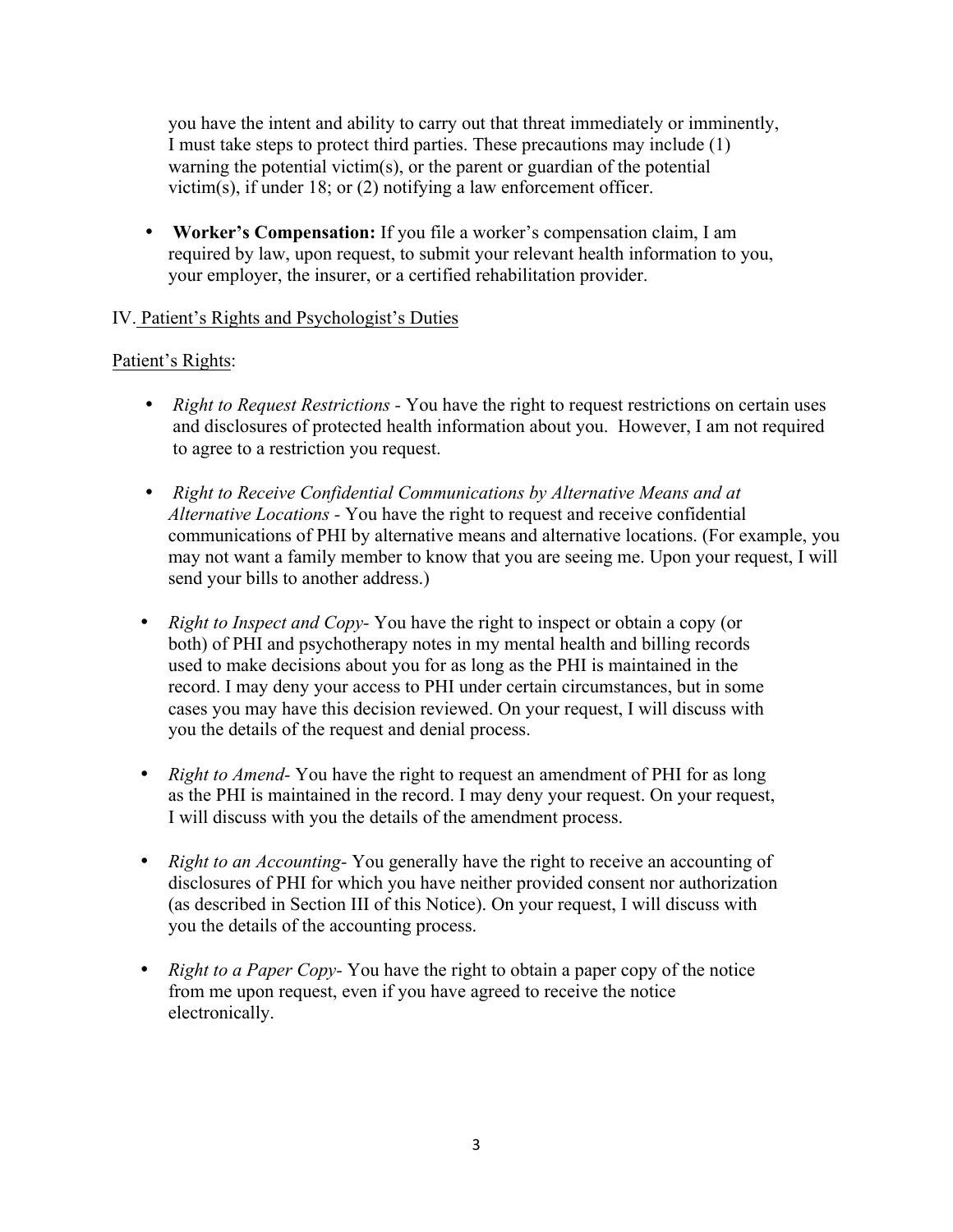you have the intent and ability to carry out that threat immediately or imminently, I must take steps to protect third parties. These precautions may include (1) warning the potential victim(s), or the parent or guardian of the potential victim(s), if under 18; or (2) notifying a law enforcement officer.

• **Worker's Compensation:** If you file a worker's compensation claim, I am required by law, upon request, to submit your relevant health information to you, your employer, the insurer, or a certified rehabilitation provider.

# IV. Patient's Rights and Psychologist's Duties

# Patient's Rights:

- *Right to Request Restrictions* You have the right to request restrictions on certain uses and disclosures of protected health information about you. However, I am not required to agree to a restriction you request.
- *Right to Receive Confidential Communications by Alternative Means and at Alternative Locations -* You have the right to request and receive confidential communications of PHI by alternative means and alternative locations. (For example, you may not want a family member to know that you are seeing me. Upon your request, I will send your bills to another address.)
- *Right to Inspect and Copy-* You have the right to inspect or obtain a copy (or both) of PHI and psychotherapy notes in my mental health and billing records used to make decisions about you for as long as the PHI is maintained in the record. I may deny your access to PHI under certain circumstances, but in some cases you may have this decision reviewed. On your request, I will discuss with you the details of the request and denial process.
- *Right to Amend-* You have the right to request an amendment of PHI for as long as the PHI is maintained in the record. I may deny your request. On your request, I will discuss with you the details of the amendment process.
- *Right to an Accounting-* You generally have the right to receive an accounting of disclosures of PHI for which you have neither provided consent nor authorization (as described in Section III of this Notice). On your request, I will discuss with you the details of the accounting process.
- *Right to a Paper Copy-* You have the right to obtain a paper copy of the notice from me upon request, even if you have agreed to receive the notice electronically.